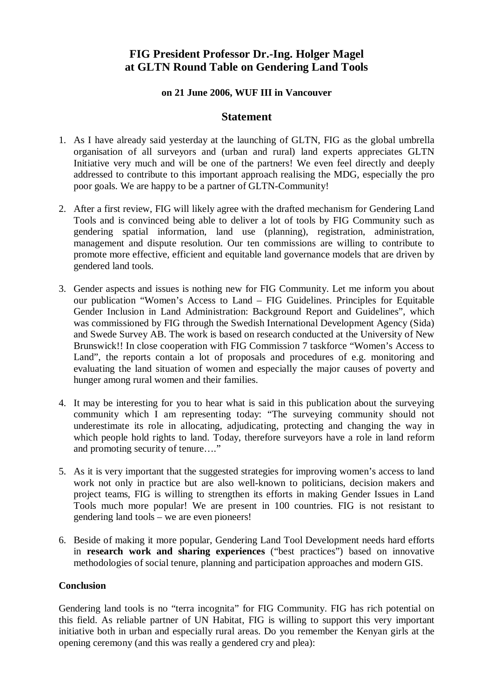## **FIG President Professor Dr.-Ing. Holger Magel at GLTN Round Table on Gendering Land Tools**

## **on 21 June 2006, WUF III in Vancouver**

## **Statement**

- 1. As I have already said yesterday at the launching of GLTN, FIG as the global umbrella organisation of all surveyors and (urban and rural) land experts appreciates GLTN Initiative very much and will be one of the partners! We even feel directly and deeply addressed to contribute to this important approach realising the MDG, especially the pro poor goals. We are happy to be a partner of GLTN-Community!
- 2. After a first review, FIG will likely agree with the drafted mechanism for Gendering Land Tools and is convinced being able to deliver a lot of tools by FIG Community such as gendering spatial information, land use (planning), registration, administration, management and dispute resolution. Our ten commissions are willing to contribute to promote more effective, efficient and equitable land governance models that are driven by gendered land tools.
- 3. Gender aspects and issues is nothing new for FIG Community. Let me inform you about our publication "Women's Access to Land – FIG Guidelines. Principles for Equitable Gender Inclusion in Land Administration: Background Report and Guidelines", which was commissioned by FIG through the Swedish International Development Agency (Sida) and Swede Survey AB. The work is based on research conducted at the University of New Brunswick!! In close cooperation with FIG Commission 7 taskforce "Women's Access to Land", the reports contain a lot of proposals and procedures of e.g. monitoring and evaluating the land situation of women and especially the major causes of poverty and hunger among rural women and their families.
- 4. It may be interesting for you to hear what is said in this publication about the surveying community which I am representing today: "The surveying community should not underestimate its role in allocating, adjudicating, protecting and changing the way in which people hold rights to land. Today, therefore surveyors have a role in land reform and promoting security of tenure…."
- 5. As it is very important that the suggested strategies for improving women's access to land work not only in practice but are also well-known to politicians, decision makers and project teams, FIG is willing to strengthen its efforts in making Gender Issues in Land Tools much more popular! We are present in 100 countries. FIG is not resistant to gendering land tools – we are even pioneers!
- 6. Beside of making it more popular, Gendering Land Tool Development needs hard efforts in **research work and sharing experiences** ("best practices") based on innovative methodologies of social tenure, planning and participation approaches and modern GIS.

## **Conclusion**

Gendering land tools is no "terra incognita" for FIG Community. FIG has rich potential on this field. As reliable partner of UN Habitat, FIG is willing to support this very important initiative both in urban and especially rural areas. Do you remember the Kenyan girls at the opening ceremony (and this was really a gendered cry and plea):